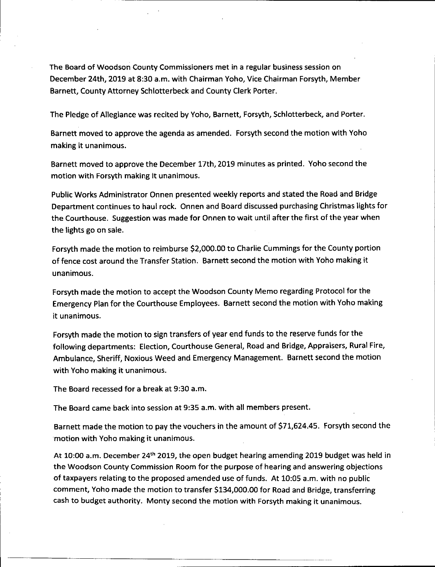The Board of Woodson County Commissioners met in a regular business session on December 24th, 2019 at 8:30 a.m. with Chairman Yoho, Vice Chairman Forsyth, Member Barnett, County Attorney Schlotterbeck and County Clerk Porter.

The Pledge of Allegiance was recited by Yoho, Barnett, Forsyth, Schlotterbeck, and Porter.

Barnett moved to approve the agenda as amended. Forsyth second the motion with Yoho making it unanimous.

Barnett moved to approve the December 17th, 2019 minutes as printed. Yoho second the motion with Forsyth making it unanimous.

Public Works Administrator Onnen presented weekly reports and stated the Road and Bridge Department continues to haul rock. Onnen and Board discussed purchasing Christmas lights for the Courthouse. Suggestion was made for Onnen to wait until after the first of the year when the lights go on sale.

Forsyth made the motion to reimburse \$2,000.00 to Charlie Cummings for the County portion offence cost around the Transfer Station. Barnett second the motion with Yoho making it unanimous.

Forsyth made the motion to accept the Woodson County Memo regarding Protocol for the Emergency Plan for the Courthouse Employees. Barnett second the motion with Yoho making it unanimous.

Forsyth made the motion to sign transfers of year end funds to the reserve funds for the following departments: Election, Courthouse General, Road and Bridge, Appraisers, Rural Fire, Ambulance, Sheriff, Noxious Weed and Emergency Management. Barnett second the motion with Yoho making it unanimous.

The Board recessed for a break at 9:30 a.m.

The Board came back into session at 9:35 a.m. with ail members present.

Barnett made the motion to pay the vouchers in the amount of \$71,624.45. Forsyth second the motion with Yoho making it unanimous.

At 10:00 a.m. December 24<sup>th</sup> 2019, the open budget hearing amending 2019 budget was held in the Woodson County Commission Room for the purpose of hearing and answering objections of taxpayers relating to the proposed amended use of funds. At 10:05 a.m. with no public comment, Yoho made the motion to transfer \$134,000.00 for Road and Bridge, transferring cash to budget authority. Monty second the motion with Forsyth making it unanimous.